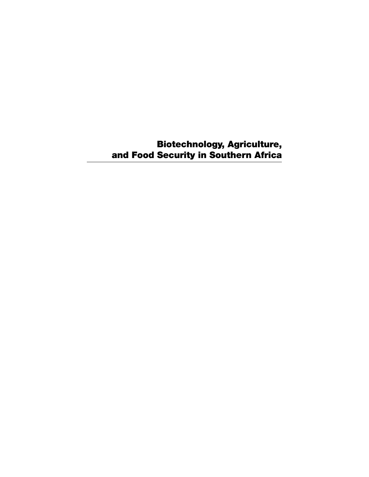**Biotechnology, Agriculture, and Food Security in Southern Africa**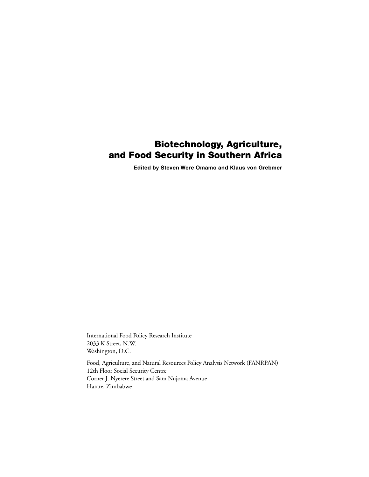# **Biotechnology, Agriculture, and Food Security in Southern Africa**

**Edited by Steven Were Omamo and Klaus von Grebmer**

International Food Policy Research Institute 2033 K Street, N.W. Washington, D.C.

Food, Agriculture, and Natural Resources Policy Analysis Network (FANRPAN) 12th Floor Social Security Centre Corner J. Nyerere Street and Sam Nujoma Avenue Harare, Zimbabwe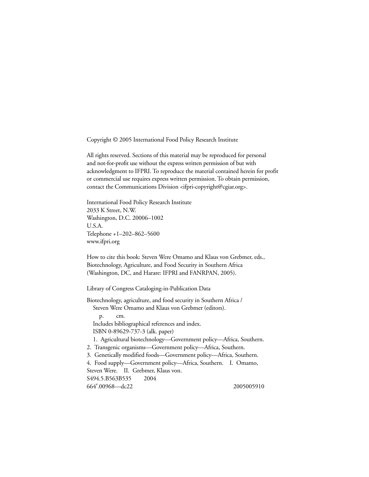Copyright © 2005 International Food Policy Research Institute

All rights reserved. Sections of this material may be reproduced for personal and not-for-profit use without the express written permission of but with acknowledgment to IFPRI. To reproduce the material contained herein for profit or commercial use requires express written permission. To obtain permission, contact the Communications Division <ifpri-copyright@cgiar.org>.

International Food Policy Research Institute 2033 K Street, N.W. Washington, D.C. 20006–1002 U.S.A. Telephone +1–202–862–5600 www.ifpri.org

How to cite this book: Steven Were Omamo and Klaus von Grebmer, eds., Biotechnology, Agriculture, and Food Security in Southern Africa (Washington, DC, and Harare: IFPRI and FANRPAN, 2005).

Library of Congress Cataloging-in-Publication Data

Biotechnology, agriculture, and food security in Southern Africa / Steven Were Omamo and Klaus von Grebmer (editors). p. cm. Includes bibliographical references and index. ISBN 0-89629-737-3 (alk. paper) 1. Agricultural biotechnology—Government policy—Africa, Southern. 2. Transgenic organisms—Government policy—Africa, Southern. 3. Genetically modified foods—Government policy—Africa, Southern. 4. Food supply—Government policy—Africa, Southern. I. Omamo, Steven Were. II. Grebmer, Klaus von. S494.5.B563B535 2004 664′.00968—dc22 2005005910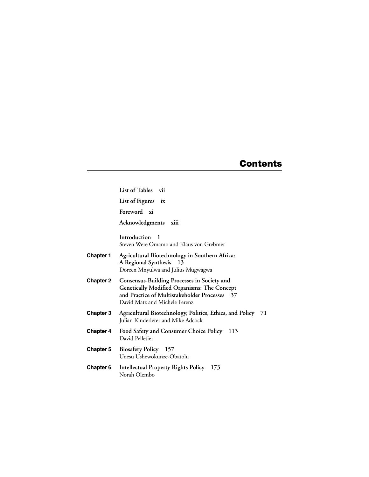# **Contents**

**List of Tables vii List of Figures ix Foreword xi Acknowledgments xiii Introduction 1** Steven Were Omamo and Klaus von Grebmer **Chapter 1 Agricultural Biotechnology in Southern Africa: A Regional Synthesis 13** Doreen Mnyulwa and Julius Mugwagwa **Chapter 2 Consensus-Building Processes in Society and Genetically Modified Organisms: The Concept and Practice of Multistakeholder Processes 37** David Matz and Michele Ferenz **Chapter 3 Agricultural Biotechnology, Politics, Ethics, and Policy 71** Julian Kinderlerer and Mike Adcock **Chapter 4 Food Safety and Consumer Choice Policy 113** David Pelletier **Chapter 5 Biosafety Policy 157** Unesu Ushewokunze-Obatolu **Chapter 6 Intellectual Property Rights Policy 173** Norah Olembo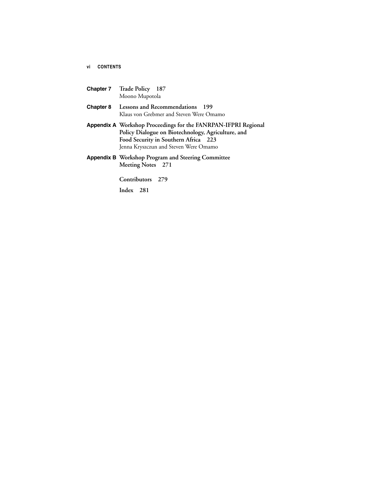# **vi CONTENTS**

| <b>Chapter 7</b> Trade Policy 187<br>Moono Mupotola                                                                                                                                                   |
|-------------------------------------------------------------------------------------------------------------------------------------------------------------------------------------------------------|
| <b>Chapter 8</b> Lessons and Recommendations<br>- 199<br>Klaus von Grebmer and Steven Were Omamo                                                                                                      |
| Appendix A Workshop Proceedings for the FANRPAN-IFPRI Regional<br>Policy Dialogue on Biotechnology, Agriculture, and<br>Food Security in Southern Africa 223<br>Jenna Kryszczun and Steven Were Omamo |
| <b>Appendix B</b> Workshop Program and Steering Committee<br>Meeting Notes 271<br>Contributors 279<br>$Index$ 281                                                                                     |
|                                                                                                                                                                                                       |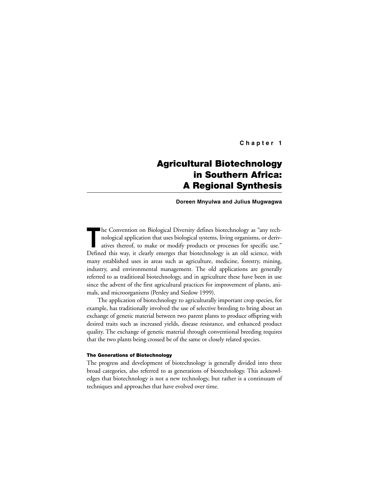**Chapter 1**

# **Agricultural Biotechnology in Southern Africa: A Regional Synthesis**

**Doreen Mnyulwa and Julius Mugwagwa**

The Convention on Biological Diversity defines biotechnology as "any technological application that uses biological systems, living organisms, or derivatives thereof, to make or modify products or processes for specific us he Convention on Biological Diversity defines biotechnology as "any technological application that uses biological systems, living organisms, or derivatives thereof, to make or modify products or processes for specific use." many established uses in areas such as agriculture, medicine, forestry, mining, industry, and environmental management. The old applications are generally referred to as traditional biotechnology, and in agriculture these have been in use since the advent of the first agricultural practices for improvement of plants, animals, and microorganisms (Persley and Siedow 1999).

The application of biotechnology to agriculturally important crop species, for example, has traditionally involved the use of selective breeding to bring about an exchange of genetic material between two parent plants to produce offspring with desired traits such as increased yields, disease resistance, and enhanced product quality. The exchange of genetic material through conventional breeding requires that the two plants being crossed be of the same or closely related species.

#### **The Generations of Biotechnology**

The progress and development of biotechnology is generally divided into three broad categories, also referred to as generations of biotechnology. This acknowledges that biotechnology is not a new technology, but rather is a continuum of techniques and approaches that have evolved over time.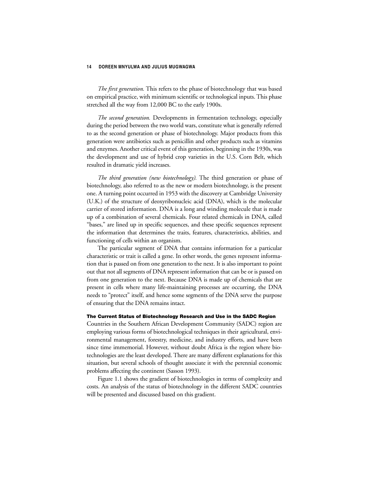*The first generation.* This refers to the phase of biotechnology that was based on empirical practice, with minimum scientific or technological inputs. This phase stretched all the way from 12,000 BC to the early 1900s.

*The second generation.* Developments in fermentation technology, especially during the period between the two world wars, constitute what is generally referred to as the second generation or phase of biotechnology. Major products from this generation were antibiotics such as penicillin and other products such as vitamins and enzymes. Another critical event of this generation, beginning in the 1930s, was the development and use of hybrid crop varieties in the U.S. Corn Belt, which resulted in dramatic yield increases.

*The third generation (new biotechnology).* The third generation or phase of biotechnology, also referred to as the new or modern biotechnology, is the present one. A turning point occurred in 1953 with the discovery at Cambridge University (U.K.) of the structure of deoxyribonucleic acid (DNA), which is the molecular carrier of stored information. DNA is a long and winding molecule that is made up of a combination of several chemicals. Four related chemicals in DNA, called "bases," are lined up in specific sequences, and these specific sequences represent the information that determines the traits, features, characteristics, abilities, and functioning of cells within an organism.

The particular segment of DNA that contains information for a particular characteristic or trait is called a gene. In other words, the genes represent information that is passed on from one generation to the next. It is also important to point out that not all segments of DNA represent information that can be or is passed on from one generation to the next. Because DNA is made up of chemicals that are present in cells where many life-maintaining processes are occurring, the DNA needs to "protect" itself, and hence some segments of the DNA serve the purpose of ensuring that the DNA remains intact.

#### **The Current Status of Biotechnology Research and Use in the SADC Region**

Countries in the Southern African Development Community (SADC) region are employing various forms of biotechnological techniques in their agricultural, environmental management, forestry, medicine, and industry efforts, and have been since time immemorial. However, without doubt Africa is the region where biotechnologies are the least developed. There are many different explanations for this situation, but several schools of thought associate it with the perennial economic problems affecting the continent (Sasson 1993).

Figure 1.1 shows the gradient of biotechnologies in terms of complexity and costs. An analysis of the status of biotechnology in the different SADC countries will be presented and discussed based on this gradient.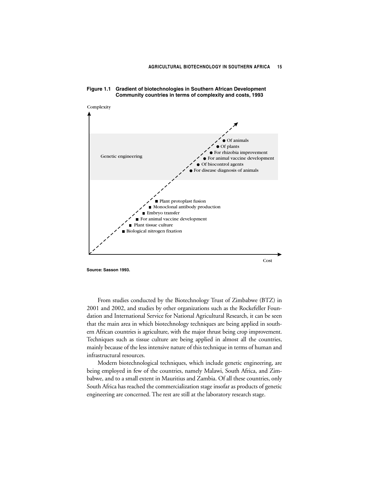

## **Figure 1.1 Gradient of biotechnologies in Southern African Development Community countries in terms of complexity and costs, 1993**

**Source: Sasson 1993.**

From studies conducted by the Biotechnology Trust of Zimbabwe (BTZ) in 2001 and 2002, and studies by other organizations such as the Rockefeller Foundation and International Service for National Agricultural Research, it can be seen that the main area in which biotechnology techniques are being applied in southern African countries is agriculture, with the major thrust being crop improvement. Techniques such as tissue culture are being applied in almost all the countries, mainly because of the less intensive nature of this technique in terms of human and infrastructural resources.

Modern biotechnological techniques, which include genetic engineering, are being employed in few of the countries, namely Malawi, South Africa, and Zimbabwe, and to a small extent in Mauritius and Zambia. Of all these countries, only South Africa has reached the commercialization stage insofar as products of genetic engineering are concerned. The rest are still at the laboratory research stage.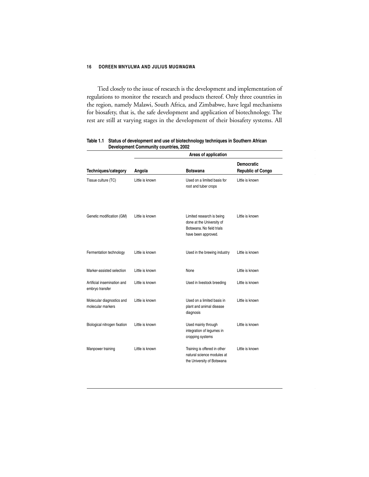Tied closely to the issue of research is the development and implementation of regulations to monitor the research and products thereof. Only three countries in the region, namely Malawi, South Africa, and Zimbabwe, have legal mechanisms for biosafety, that is, the safe development and application of biotechnology. The rest are still at varying stages in the development of their biosafety systems. All

|                                                | Areas of application |                                                                                                            |                                               |  |
|------------------------------------------------|----------------------|------------------------------------------------------------------------------------------------------------|-----------------------------------------------|--|
| Techniques/category                            | Angola               | <b>Botswana</b>                                                                                            | <b>Democratic</b><br><b>Republic of Congo</b> |  |
| Tissue culture (TC)                            | Little is known      | Used on a limited basis for<br>root and tuber crops                                                        | Little is known                               |  |
| Genetic modification (GM)                      | Little is known      | Limited research is being<br>done at the University of<br>Botswana. No field trials<br>have been approved. | Little is known                               |  |
| Fermentation technology                        | Little is known      | Used in the brewing industry                                                                               | Little is known                               |  |
| Marker-assisted selection                      | Little is known      | None                                                                                                       | Little is known                               |  |
| Artificial insemination and<br>embryo transfer | Little is known      | Used in livestock breeding                                                                                 | Little is known                               |  |
| Molecular diagnostics and<br>molecular markers | Little is known      | Used on a limited basis in<br>plant and animal disease<br>diagnosis                                        | Little is known                               |  |
| Biological nitrogen fixation                   | Little is known      | Used mainly through<br>integration of legumes in<br>cropping systems                                       | Little is known                               |  |
| Manpower training                              | Little is known      | Training is offered in other<br>natural science modules at<br>the University of Botswana                   | Little is known                               |  |

**Table 1.1 Status of development and use of biotechnology techniques in Southern African Development Community countries, 2002**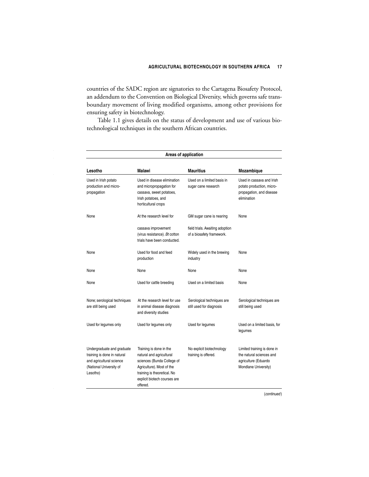countries of the SADC region are signatories to the Cartagena Biosafety Protocol, an addendum to the Convention on Biological Diversity, which governs safe transboundary movement of living modified organisms, among other provisions for ensuring safety in biotechnology.

Table 1.1 gives details on the status of development and use of various biotechnological techniques in the southern African countries.

| Areas of application                                                                                                         |                                                                                                                                                                                           |                                                              |                                                                                                         |
|------------------------------------------------------------------------------------------------------------------------------|-------------------------------------------------------------------------------------------------------------------------------------------------------------------------------------------|--------------------------------------------------------------|---------------------------------------------------------------------------------------------------------|
| Lesotho                                                                                                                      | Malawi                                                                                                                                                                                    | <b>Mauritius</b>                                             | Mozambique                                                                                              |
| Used in Irish potato<br>production and micro-<br>propagation                                                                 | Used in disease elimination<br>and micropropagation for<br>cassava, sweet potatoes,<br>Irish potatoes, and<br>horticultural crops                                                         | Used on a limited basis in<br>sugar cane research            | Used in cassava and Irish<br>potato production, micro-<br>propagation, and disease<br>elimination       |
| None                                                                                                                         | At the research level for                                                                                                                                                                 | GM sugar cane is nearing                                     | None                                                                                                    |
|                                                                                                                              | cassava improvement<br>(virus resistance). Bt cotton<br>trials have been conducted.                                                                                                       | field trials. Awaiting adoption<br>of a biosafety framework. |                                                                                                         |
| None                                                                                                                         | Used for food and feed<br>production                                                                                                                                                      | Widely used in the brewing<br>industry                       | None                                                                                                    |
| None                                                                                                                         | None                                                                                                                                                                                      | None                                                         | None                                                                                                    |
| None                                                                                                                         | Used for cattle breeding                                                                                                                                                                  | Used on a limited basis                                      | None                                                                                                    |
| None; serological techniques<br>are still being used                                                                         | At the research level for use<br>in animal disease diagnosis<br>and diversity studies                                                                                                     | Serological techniques are<br>still used for diagnosis       | Serological techniques are<br>still being used                                                          |
| Used for legumes only                                                                                                        | Used for legumes only                                                                                                                                                                     | Used for legumes                                             | Used on a limited basis, for<br>legumes                                                                 |
| Undergraduate and graduate<br>training is done in natural<br>and agricultural science<br>(National University of<br>Lesotho) | Training is done in the<br>natural and agricultural<br>sciences (Bunda College of<br>Agriculture). Most of the<br>training is theoretical. No<br>explicit biotech courses are<br>offered. | No explicit biotechnology<br>training is offered.            | Limited training is done in<br>the natural sciences and<br>agriculture (Eduardo<br>Mondlane University) |

(continued )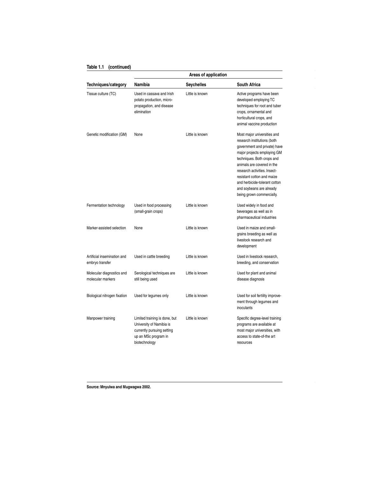## **Table 1.1 (continued)**

|                                                | Areas of application                                                                                                             |                   |                                                                                                                                                                                                                                                                                                                                               |
|------------------------------------------------|----------------------------------------------------------------------------------------------------------------------------------|-------------------|-----------------------------------------------------------------------------------------------------------------------------------------------------------------------------------------------------------------------------------------------------------------------------------------------------------------------------------------------|
| Techniques/category                            | Namibia                                                                                                                          | <b>Seychelles</b> | <b>South Africa</b>                                                                                                                                                                                                                                                                                                                           |
| Tissue culture (TC)                            | Used in cassava and Irish<br>potato production, micro-<br>propagation, and disease<br>elimination                                | Little is known   | Active programs have been<br>developed employing TC<br>techniques for root and tuber<br>crops, ornamental and<br>horticultural crops, and<br>animal vaccine production                                                                                                                                                                        |
| Genetic modification (GM)                      | None                                                                                                                             | I ittle is known  | Most major universities and<br>research institutions (both<br>government and private) have<br>major projects employing GM<br>techniques. Both crops and<br>animals are covered in the<br>research activities, Insect-<br>resistant cotton and maize<br>and herbicide-tolerant cotton<br>and soybeans are already<br>being grown commercially. |
| Fermentation technology                        | Used in food processing<br>(small-grain crops)                                                                                   | Little is known   | Used widely in food and<br>beverages as well as in<br>pharmaceutical industries                                                                                                                                                                                                                                                               |
| Marker-assisted selection                      | <b>None</b>                                                                                                                      | I ittle is known  | Used in maize and small-<br>grains breeding as well as<br>livestock research and<br>development                                                                                                                                                                                                                                               |
| Artificial insemination and<br>embryo transfer | Used in cattle breeding                                                                                                          | Little is known   | Used in livestock research,<br>breeding, and conservation                                                                                                                                                                                                                                                                                     |
| Molecular diagnostics and<br>molecular markers | Serological techniques are<br>still being used                                                                                   | Little is known   | Used for plant and animal<br>disease diagnosis                                                                                                                                                                                                                                                                                                |
| Biological nitrogen fixation                   | Used for legumes only                                                                                                            | Little is known   | Used for soil fertility improve-<br>ment through legumes and<br>inoculants                                                                                                                                                                                                                                                                    |
| Manpower training                              | Limited training is done, but<br>University of Namibia is<br>currently pursuing setting<br>up an MSc program in<br>biotechnology | Little is known   | Specific degree-level training<br>programs are available at<br>most major universities, with<br>access to state-of-the art<br>resources                                                                                                                                                                                                       |

**Source: Mnyulwa and Mugwagwa 2002.**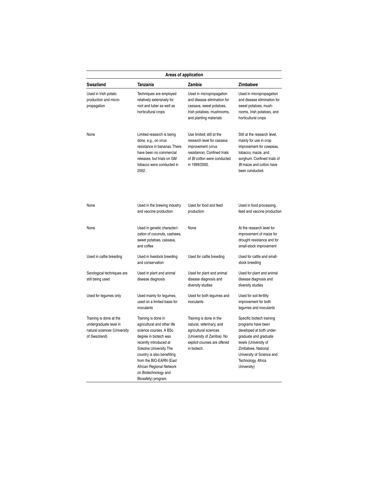|                                                                                                    |                                                                                                                                                                                                                                                                                                | Areas of application                                                                                                                                          |                                                                                                                                                                                                                       |
|----------------------------------------------------------------------------------------------------|------------------------------------------------------------------------------------------------------------------------------------------------------------------------------------------------------------------------------------------------------------------------------------------------|---------------------------------------------------------------------------------------------------------------------------------------------------------------|-----------------------------------------------------------------------------------------------------------------------------------------------------------------------------------------------------------------------|
| Swaziland                                                                                          | Tanzania                                                                                                                                                                                                                                                                                       | Zambia                                                                                                                                                        | Zimbabwe                                                                                                                                                                                                              |
| Used in Irish potato<br>production and micro-<br>propagation                                       | Techniques are employed<br>relatively extensively for<br>root and tuber as well as<br>horticultural crops                                                                                                                                                                                      | Used in micropropagation<br>and disease elimination for<br>cassava, sweet potatoes,<br>Irish potatoes, mushrooms,<br>and planting materials                   | Used in micropropagation<br>and disease elimination for<br>sweet potatoes, mush-<br>rooms, Irish potatoes, and<br>horticultural crops                                                                                 |
| None                                                                                               | Limited research is being<br>done, e.g., on virus<br>resistance in bananas. There<br>have been no commercial<br>releases, but trials on GM<br>tobacco were conducted in<br>2002.                                                                                                               | Use limited; still at the<br>research level for cassava<br>improvement (virus<br>resistance). Confined trials<br>of Bt cotton were conducted<br>in 1999/2000. | Still at the research level,<br>mainly for use in crop<br>improvement for cowpeas,<br>tobacco, maize, and<br>sorghum. Confined trials of<br>Bt maize and cotton have<br>been conducted.                               |
| None                                                                                               | Used in the brewing industry<br>and vaccine production                                                                                                                                                                                                                                         | Used for food and feed<br>production                                                                                                                          | Used in food processing,<br>feed and vaccine production                                                                                                                                                               |
| None                                                                                               | Used in genetic characteri-<br>zation of coconuts, cashews,<br>sweet potatoes, cassava,<br>and coffee                                                                                                                                                                                          | None                                                                                                                                                          | At the research level for<br>improvement of maize for<br>drought resistance and for<br>small-stock improvement                                                                                                        |
| Used in cattle breeding                                                                            | Used in livestock breeding<br>Used for cattle breeding<br>and conservation                                                                                                                                                                                                                     |                                                                                                                                                               | Used for cattle and small-<br>stock breeding                                                                                                                                                                          |
| Serological techniques are<br>still being used                                                     | Used in plant and animal<br>disease diagnosis                                                                                                                                                                                                                                                  | Used for plant and animal<br>disease diagnosis and<br>diversity studies                                                                                       | Used for plant and animal<br>disease diagnosis and<br>diversity studies                                                                                                                                               |
| Used for legumes only                                                                              | Used mainly for legumes;<br>used on a limited basis for<br>inoculants                                                                                                                                                                                                                          | Used for both legumes and<br>inoculants                                                                                                                       | Used for soil fertility<br>improvement for both<br>legumes and inoculants                                                                                                                                             |
| Training is done at the<br>undergraduate level in<br>natural sciences (University<br>of Swaziland) | Training is done in<br>agricultural and other life<br>science courses. A BSc<br>degree in biotech was<br>recently introduced at<br>Sokoine University. The<br>country is also benefiting<br>from the BIO-EARN (East<br>African Regional Network<br>on Biotechnology and<br>Biosafety) program. | Training is done in the<br>natural, veterinary, and<br>agricultural sciences<br>(University of Zambia). No<br>explicit courses are offered<br>in biotech.     | Specific biotech training<br>programs have been<br>developed at both under-<br>graduate and graduate<br>levels (University of<br>Zimbabwe, National<br>University of Science and<br>Technology, Africa<br>University) |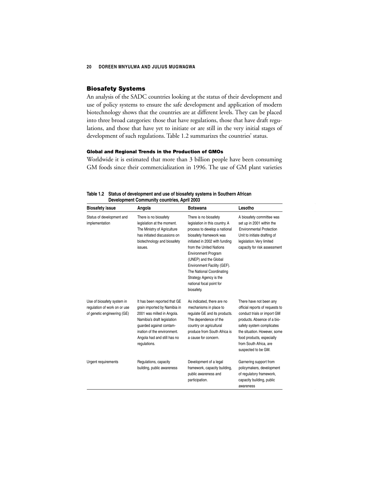## **Biosafety Systems**

An analysis of the SADC countries looking at the status of their development and use of policy systems to ensure the safe development and application of modern biotechnology shows that the countries are at different levels. They can be placed into three broad categories: those that have regulations, those that have draft regulations, and those that have yet to initiate or are still in the very initial stages of development of such regulations. Table 1.2 summarizes the countries' status.

## **Global and Regional Trends in the Production of GMOs**

Worldwide it is estimated that more than 3 billion people have been consuming GM foods since their commercialization in 1996. The use of GM plant varieties

| Table 1.2 Status of development and use of biosafety systems in Southern African |
|----------------------------------------------------------------------------------|
| Development Community countries, April 2003                                      |

| <b>Biosafety issue</b>                                                                    | Angola                                                                                                                                                                                                                             | <b>Botswana</b>                                                                                                                                                                                                                                                                                                                                                         | Lesotho                                                                                                                                                                                                                                                             |
|-------------------------------------------------------------------------------------------|------------------------------------------------------------------------------------------------------------------------------------------------------------------------------------------------------------------------------------|-------------------------------------------------------------------------------------------------------------------------------------------------------------------------------------------------------------------------------------------------------------------------------------------------------------------------------------------------------------------------|---------------------------------------------------------------------------------------------------------------------------------------------------------------------------------------------------------------------------------------------------------------------|
| Status of development and<br>implementation                                               | There is no biosafety<br>legislation at the moment.<br>The Ministry of Agriculture<br>has initiated discussions on<br>biotechnology and biosafety<br>issues.                                                                       | There is no biosafety<br>legislation in this country. A<br>process to develop a national<br>biosafety framework was<br>initiated in 2002 with funding<br>from the United Nations<br><b>Environment Program</b><br>(UNEP) and the Global<br>Environment Facility (GEF).<br>The National Coordinating<br>Strategy Agency is the<br>national focal point for<br>biosafety. | A biosafety committee was<br>set up in 2001 within the<br><b>Environmental Protection</b><br>Unit to initiate drafting of<br>legislation. Very limited<br>capacity for risk assessment                                                                              |
| Use of biosafety system in<br>regulation of work on or use<br>of genetic engineering (GE) | It has been reported that GE<br>grain imported by Namibia in<br>2001 was milled in Angola.<br>Namibia's draft legislation<br>guarded against contam-<br>ination of the environment.<br>Angola had and still has no<br>regulations. | As indicated, there are no<br>mechanisms in place to<br>regulate GE and its products.<br>The dependence of the<br>country on agricultural<br>produce from South Africa is<br>a cause for concern.                                                                                                                                                                       | There have not been any<br>official reports of requests to<br>conduct trials or import GM<br>products. Absence of a bio-<br>safety system complicates<br>the situation. However, some<br>food products, especially<br>from South Africa, are<br>suspected to be GM. |
| Urgent requirements                                                                       | Regulations, capacity<br>building, public awareness                                                                                                                                                                                | Development of a legal<br>framework, capacity building,<br>public awareness and<br>participation.                                                                                                                                                                                                                                                                       | Garnering support from<br>policymakers, development<br>of regulatory framework,<br>capacity building, public<br>awareness                                                                                                                                           |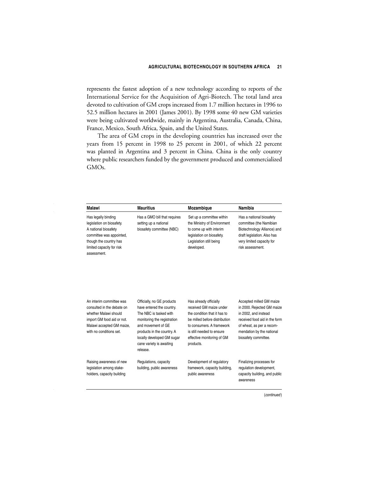represents the fastest adoption of a new technology according to reports of the International Service for the Acquisition of Agri-Biotech. The total land area devoted to cultivation of GM crops increased from 1.7 million hectares in 1996 to 52.5 million hectares in 2001 (James 2001). By 1998 some 40 new GM varieties were being cultivated worldwide, mainly in Argentina, Australia, Canada, China, France, Mexico, South Africa, Spain, and the United States.

The area of GM crops in the developing countries has increased over the years from 15 percent in 1998 to 25 percent in 2001, of which 22 percent was planted in Argentina and 3 percent in China. China is the only country where public researchers funded by the government produced and commercialized GMOs.

| Malawi                                                                                                                                                                     | <b>Mauritius</b>                                                                                                                                                                                                                           | Mozambique                                                                                                                                                                                                              | Namibia                                                                                                                                                                                           |
|----------------------------------------------------------------------------------------------------------------------------------------------------------------------------|--------------------------------------------------------------------------------------------------------------------------------------------------------------------------------------------------------------------------------------------|-------------------------------------------------------------------------------------------------------------------------------------------------------------------------------------------------------------------------|---------------------------------------------------------------------------------------------------------------------------------------------------------------------------------------------------|
| Has legally binding<br>legislation on biosafety.<br>A national biosafety<br>committee was appointed,<br>though the country has<br>limited capacity for risk<br>assessment. | Has a GMO bill that requires<br>setting up a national<br>biosafety committee (NBC)                                                                                                                                                         | Set up a committee within<br>the Ministry of Environment<br>to come up with interim<br>legislation on biosafety.<br>Legislation still being<br>developed.                                                               | Has a national biosafety<br>committee (the Namibian<br>Biotechnology Alliance) and<br>draft legislation. Also has<br>very limited capacity for<br>risk assessment.                                |
| An interim committee was<br>consulted in the debate on<br>whether Malawi should<br>import GM food aid or not.<br>Malawi accepted GM maize,<br>with no conditions set.      | Officially, no GE products<br>have entered the country.<br>The NBC is tasked with<br>monitoring the registration<br>and movement of GE<br>products in the country. A<br>locally developed GM sugar<br>cane variety is awaiting<br>release. | Has already officially<br>received GM maize under<br>the condition that it has to<br>be milled before distribution<br>to consumers. A framework<br>is still needed to ensure<br>effective monitoring of GM<br>products. | Accepted milled GM maize<br>in 2000. Rejected GM maize<br>in 2002, and instead<br>received food aid in the form<br>of wheat, as per a recom-<br>mendation by the national<br>biosafety committee. |
| Raising awareness of new<br>legislation among stake-<br>holders, capacity building                                                                                         | Regulations, capacity<br>building, public awareness                                                                                                                                                                                        | Development of regulatory<br>framework, capacity building,<br>public awareness                                                                                                                                          | Finalizing processes for<br>regulation development,<br>capacity building, and public<br>awareness                                                                                                 |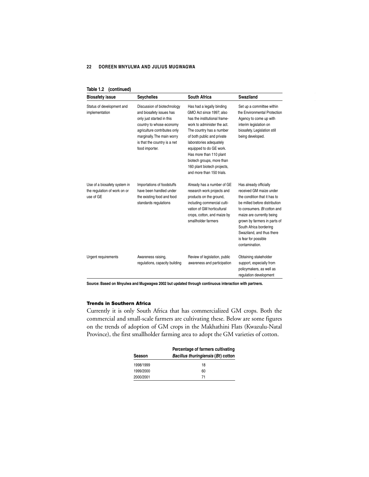| <b>Biosafety issue</b>                                                    | <b>Seychelles</b>                                                                                                                                                                                                                | <b>South Africa</b>                                                                                                                                                                                                                                                                                                                                      | <b>Swaziland</b>                                                                                                                                                                                                                                                                                                |
|---------------------------------------------------------------------------|----------------------------------------------------------------------------------------------------------------------------------------------------------------------------------------------------------------------------------|----------------------------------------------------------------------------------------------------------------------------------------------------------------------------------------------------------------------------------------------------------------------------------------------------------------------------------------------------------|-----------------------------------------------------------------------------------------------------------------------------------------------------------------------------------------------------------------------------------------------------------------------------------------------------------------|
| Status of development and<br>implementation                               | Discussion of biotechnology<br>and biosafety issues has<br>only just started in this<br>country to whose economy<br>agriculture contributes only<br>marginally. The main worry<br>is that the country is a net<br>food importer. | Has had a legally binding<br>GMO Act since 1997; also<br>has the institutional frame-<br>work to administer the act.<br>The country has a number<br>of both public and private<br>laboratories adequately<br>equipped to do GE work.<br>Has more than 110 plant<br>biotech groups, more than<br>160 plant biotech projects,<br>and more than 150 trials. | Set up a committee within<br>the Environmental Protection<br>Agency to come up with<br>interim legislation on<br>biosafety. Legislation still<br>being developed.                                                                                                                                               |
| Use of a biosafety system in<br>the regulation of work on or<br>use of GE | Importations of foodstuffs<br>have been handled under<br>the existing food and food<br>standards regulations                                                                                                                     | Already has a number of GE<br>research work projects and<br>products on the ground,<br>including commercial culti-<br>vation of GM horticultural<br>crops, cotton, and maize by<br>smallholder farmers                                                                                                                                                   | Has already officially<br>received GM maize under<br>the condition that it has to<br>be milled before distribution<br>to consumers. Bt cotton and<br>maize are currently being<br>grown by farmers in parts of<br>South Africa bordering<br>Swaziland, and thus there<br>is fear for possible<br>contamination. |
| Urgent requirements                                                       | Awareness raising,<br>regulations, capacity building                                                                                                                                                                             | Review of legislation, public<br>awareness and participation                                                                                                                                                                                                                                                                                             | Obtaining stakeholder<br>support, especially from<br>policymakers, as well as<br>regulation development                                                                                                                                                                                                         |

## **Table 1.2 (continued)**

**Source: Based on Mnyulwa and Mugwagwa 2002 but updated through continuous interaction with partners.**

# **Trends in Southern Africa**

Currently it is only South Africa that has commercialized GM crops. Both the commercial and small-scale farmers are cultivating these. Below are some figures on the trends of adoption of GM crops in the Makhathini Flats (Kwazulu-Natal Province), the first smallholder farming area to adopt the GM varieties of cotton.

|           | Percentage of farmers cultivating         |
|-----------|-------------------------------------------|
| Season    | <b>Bacillus thuringiensis (Bt) cotton</b> |
| 1998/1999 | 18                                        |
| 1999/2000 | 60                                        |
| 2000/2001 | 71                                        |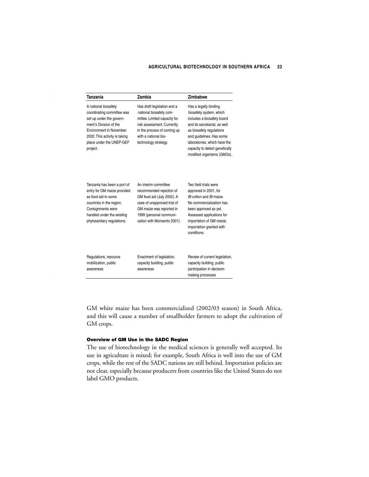## **AGRICULTURAL BIOTECHNOLOGY IN SOUTHERN AFRICA 23**

| Tanzania                                                                                                                                                                                                            | Zambia                                                                                                                                                                                              | Zimbabwe                                                                                                                                                                                                                                                               |
|---------------------------------------------------------------------------------------------------------------------------------------------------------------------------------------------------------------------|-----------------------------------------------------------------------------------------------------------------------------------------------------------------------------------------------------|------------------------------------------------------------------------------------------------------------------------------------------------------------------------------------------------------------------------------------------------------------------------|
| A national biosafety<br>coordinating committee was<br>set up under the govern-<br>ment's Division of the<br><b>Environment in November</b><br>2002. This activity is taking<br>place under the UNEP-GEF<br>project. | Has draft legislation and a<br>national biosafety com-<br>mittee. Limited capacity for<br>risk assessment. Currently<br>in the process of coming up<br>with a national bio-<br>technology strategy. | Has a legally binding<br>biosafety system, which<br>includes a biosafety board<br>and its secretariat, as well<br>as biosafety regulations<br>and guidelines. Has some<br>laboratories, which have the<br>capacity to detect genetically<br>modified organisms (GMOs). |
| Tanzania has been a port of<br>entry for GM maize provided<br>as food aid to some<br>countries in the region.<br>Consignments were<br>handled under the existing<br>phytosanitary regulations.                      | An interim committee<br>recommended rejection of<br>GM food aid (July 2002). A<br>case of unapproved trial of<br>GM maize was reported in<br>1999 (personal communi-<br>cation with Monsanto 2001). | Two field trials were<br>approved in 2001, for<br>Bt cotton and Bt maize.<br>No commercialization has<br>been approved as yet.<br>Assessed applications for<br>importation of GM maize;<br>importation granted with<br>conditions.                                     |
| Regulations, resource<br>mobilization, public<br>awareness                                                                                                                                                          | Enactment of legislation,<br>capacity building, public<br>awareness                                                                                                                                 | Review of current legislation,<br>capacity building, public<br>participation in decision-<br>making processes                                                                                                                                                          |

GM white maize has been commercialized (2002/03 season) in South Africa, and this will cause a number of smallholder farmers to adopt the cultivation of GM crops.

## **Overview of GM Use in the SADC Region**

The use of biotechnology in the medical sciences is generally well accepted. Its use in agriculture is mixed; for example, South Africa is well into the use of GM crops, while the rest of the SADC nations are still behind. Importation policies are not clear, especially because producers from countries like the United States do not label GMO products.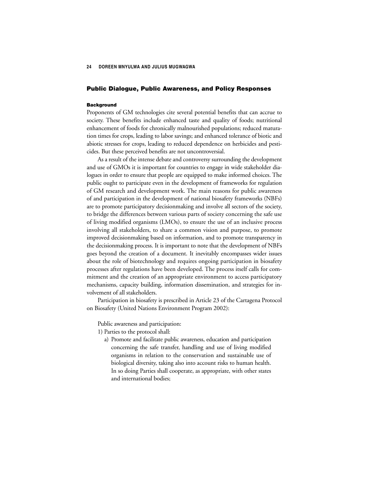## **Public Dialogue, Public Awareness, and Policy Responses**

#### **Background**

Proponents of GM technologies cite several potential benefits that can accrue to society. These benefits include enhanced taste and quality of foods; nutritional enhancement of foods for chronically malnourished populations; reduced maturation times for crops, leading to labor savings; and enhanced tolerance of biotic and abiotic stresses for crops, leading to reduced dependence on herbicides and pesticides. But these perceived benefits are not uncontroversial.

As a result of the intense debate and controversy surrounding the development and use of GMOs it is important for countries to engage in wide stakeholder dialogues in order to ensure that people are equipped to make informed choices. The public ought to participate even in the development of frameworks for regulation of GM research and development work. The main reasons for public awareness of and participation in the development of national biosafety frameworks (NBFs) are to promote participatory decisionmaking and involve all sectors of the society, to bridge the differences between various parts of society concerning the safe use of living modified organisms (LMOs), to ensure the use of an inclusive process involving all stakeholders, to share a common vision and purpose, to promote improved decisionmaking based on information, and to promote transparency in the decisionmaking process. It is important to note that the development of NBFs goes beyond the creation of a document. It inevitably encompasses wider issues about the role of biotechnology and requires ongoing participation in biosafety processes after regulations have been developed. The process itself calls for commitment and the creation of an appropriate environment to access participatory mechanisms, capacity building, information dissemination, and strategies for involvement of all stakeholders.

Participation in biosafety is prescribed in Article 23 of the Cartagena Protocol on Biosafety (United Nations Environment Program 2002):

Public awareness and participation:

- 1) Parties to the protocol shall:
	- a) Promote and facilitate public awareness, education and participation concerning the safe transfer, handling and use of living modified organisms in relation to the conservation and sustainable use of biological diversity, taking also into account risks to human health. In so doing Parties shall cooperate, as appropriate, with other states and international bodies;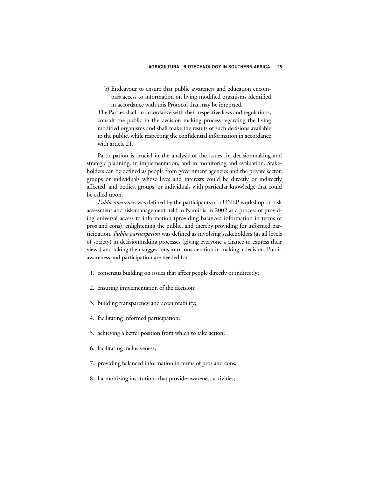b) Endeavour to ensure that public awareness and education encompass access to information on living modified organisms identified in accordance with this Protocol that may be imported.

The Parties shall, in accordance with their respective laws and regulations, consult the public in the decision making process regarding the living modified organisms and shall make the results of such decisions available to the public, while respecting the confidential information in accordance with article 21.

Participation is crucial in the analysis of the issues, in decisionmaking and strategic planning, in implementation, and in monitoring and evaluation. Stakeholders can be defined as people from government agencies and the private sector, groups or individuals whose lives and interests could be directly or indirectly affected, and bodies, groups, or individuals with particular knowledge that could be called upon.

*Public awareness* was defined by the participants of a UNEP workshop on risk assessment and risk management held in Namibia in 2002 as a process of providing universal access to information (providing balanced information in terms of pros and cons), enlightening the public, and thereby providing for informed participation. *Public participation* was defined as involving stakeholders (at all levels of society) in decisionmaking processes (giving everyone a chance to express their views) and taking their suggestions into consideration in making a decision. Public awareness and participation are needed for

- 1. consensus building on issues that affect people directly or indirectly;
- 2. ensuring implementation of the decision;
- 3. building transparency and accountability;
- 4. facilitating informed participation;
- 5. achieving a better position from which to take action;
- 6. facilitating inclusiveness;
- 7. providing balanced information in terms of pros and cons;
- 8. harmonizing institutions that provide awareness activities;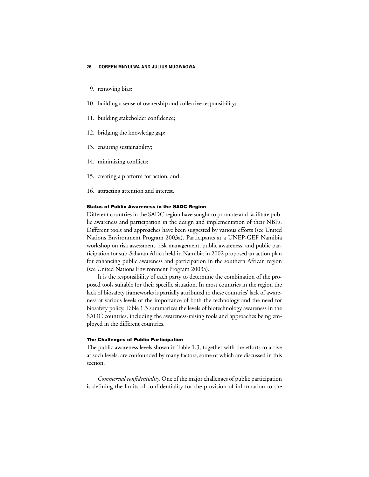- 9. removing bias;
- 10. building a sense of ownership and collective responsibility;
- 11. building stakeholder confidence;
- 12. bridging the knowledge gap;
- 13. ensuring sustainability;
- 14. minimizing conflicts;
- 15. creating a platform for action; and
- 16. attracting attention and interest.

#### **Status of Public Awareness in the SADC Region**

Different countries in the SADC region have sought to promote and facilitate public awareness and participation in the design and implementation of their NBFs. Different tools and approaches have been suggested by various efforts (see United Nations Environment Program 2003a). Participants at a UNEP-GEF Namibia workshop on risk assessment, risk management, public awareness, and public participation for sub-Saharan Africa held in Namibia in 2002 proposed an action plan for enhancing public awareness and participation in the southern African region (see United Nations Environment Program 2003a).

It is the responsibility of each party to determine the combination of the proposed tools suitable for their specific situation. In most countries in the region the lack of biosafety frameworks is partially attributed to these countries' lack of awareness at various levels of the importance of both the technology and the need for biosafety policy. Table 1.3 summarizes the levels of biotechnology awareness in the SADC countries, including the awareness-raising tools and approaches being employed in the different countries.

#### **The Challenges of Public Participation**

The public awareness levels shown in Table 1.3, together with the efforts to arrive at such levels, are confounded by many factors, some of which are discussed in this section.

*Commercial confidentiality.* One of the major challenges of public participation is defining the limits of confidentiality for the provision of information to the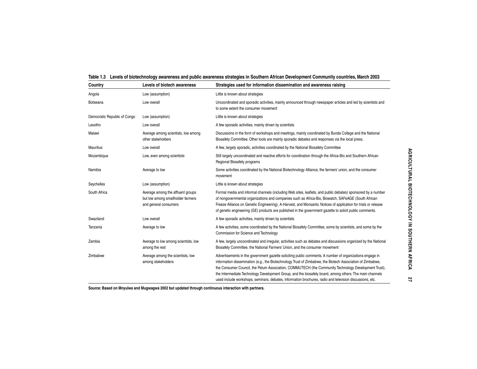## **Table 1.3 Levels of biotechnology awareness and public awareness strategies in Southern African Development Community countries, March 2003**

| Country                      | <b>Levels of biotech awareness</b>                                                              | Strategies used for information dissemination and awareness raising                                                                                                                                                                                                                                                                                                                                                                                                                                                                                   |
|------------------------------|-------------------------------------------------------------------------------------------------|-------------------------------------------------------------------------------------------------------------------------------------------------------------------------------------------------------------------------------------------------------------------------------------------------------------------------------------------------------------------------------------------------------------------------------------------------------------------------------------------------------------------------------------------------------|
| Angola                       | Low (assumption)                                                                                | Little is known about strategies                                                                                                                                                                                                                                                                                                                                                                                                                                                                                                                      |
| Botswana                     | Low overall                                                                                     | Uncoordinated and sporadic activities, mainly announced through newspaper articles and led by scientists and<br>to some extent the consumer movement                                                                                                                                                                                                                                                                                                                                                                                                  |
| Democratic Republic of Congo | Low (assumption)                                                                                | Little is known about strategies                                                                                                                                                                                                                                                                                                                                                                                                                                                                                                                      |
| Lesotho                      | Low overall                                                                                     | A few sporadic activities, mainly driven by scientists                                                                                                                                                                                                                                                                                                                                                                                                                                                                                                |
| Malawi                       | Average among scientists, low among<br>other stakeholders                                       | Discussions in the form of workshops and meetings, mainly coordinated by Bunda College and the National<br>Biosafety Committee. Other tools are mainly sporadic debates and responses via the local press.                                                                                                                                                                                                                                                                                                                                            |
| <b>Mauritius</b>             | Low overall                                                                                     | A few, largely sporadic, activities coordinated by the National Biosafety Committee                                                                                                                                                                                                                                                                                                                                                                                                                                                                   |
| Mozambique                   | Low, even among scientists                                                                      | Still largely uncoordinated and reactive efforts for coordination through the Africa-Bio and Southern African<br>Regional Biosafety programs                                                                                                                                                                                                                                                                                                                                                                                                          |
| Namibia                      | Average to low                                                                                  | Some activities coordinated by the National Biotechnology Alliance, the farmers' union, and the consumer<br>movement                                                                                                                                                                                                                                                                                                                                                                                                                                  |
| Seychelles                   | Low (assumption)                                                                                | Little is known about strategies                                                                                                                                                                                                                                                                                                                                                                                                                                                                                                                      |
| South Africa                 | Average among the affluent groups<br>but low among smallholder farmers<br>and general consumers | Formal media and informal channels (including Web sites, leaflets, and public debates) sponsored by a number<br>of nongovernmental organizations and companies such as Africa-Bio, Biowatch, SAFeAGE (South African<br>Freeze Alliance on Genetic Engineering), A-Harvest, and Monsanto. Notices of application for trials or release<br>of genetic engineering (GE) products are published in the government gazette to solicit public comments.                                                                                                     |
| Swaziland                    | Low overall                                                                                     | A few sporadic activities, mainly driven by scientists                                                                                                                                                                                                                                                                                                                                                                                                                                                                                                |
| Tanzania                     | Average to low                                                                                  | A few activities, some coordinated by the National Biosafety Committee, some by scientists, and some by the<br>Commission for Science and Technology                                                                                                                                                                                                                                                                                                                                                                                                  |
| Zambia                       | Average to low among scientists, low<br>among the rest                                          | A few, largely uncoordinated and irregular, activities such as debates and discussions organized by the National<br>Biosafety Committee, the National Farmers' Union, and the consumer movement                                                                                                                                                                                                                                                                                                                                                       |
| Zimbabwe                     | Average among the scientists, low<br>among stakeholders                                         | Advertisements in the government gazette soliciting public comments. A number of organizations engage in<br>information dissemination (e.g., the Biotechnology Trust of Zimbabwe, the Biotech Association of Zimbabwe,<br>the Consumer Council, the Pelum Association, COMMUTECH (the Community Technology Development Trust),<br>the Intermediate Technology Development Group, and the biosafety board, among others. The main channels<br>used include workshops, seminars, debates, information brochures, radio and television discussions, etc. |

**Source: Based on Mnyulwa and Mugwagwa 2002 but updated through continuous interaction with partners.**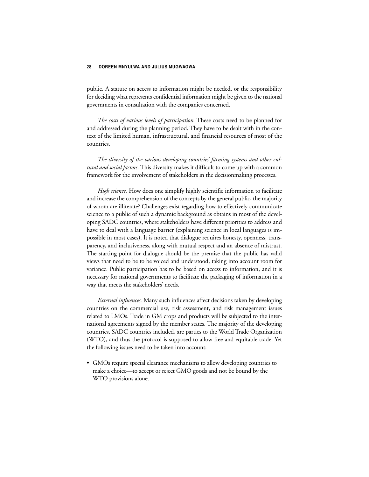public. A statute on access to information might be needed, or the responsibility for deciding what represents confidential information might be given to the national governments in consultation with the companies concerned.

*The costs of various levels of participation.* These costs need to be planned for and addressed during the planning period. They have to be dealt with in the context of the limited human, infrastructural, and financial resources of most of the countries.

*The diversity of the various developing countries' farming systems and other cultural and social factors.* This diversity makes it difficult to come up with a common framework for the involvement of stakeholders in the decisionmaking processes.

*High science.* How does one simplify highly scientific information to facilitate and increase the comprehension of the concepts by the general public, the majority of whom are illiterate? Challenges exist regarding how to effectively communicate science to a public of such a dynamic background as obtains in most of the developing SADC countries, where stakeholders have different priorities to address and have to deal with a language barrier (explaining science in local languages is impossible in most cases). It is noted that dialogue requires honesty, openness, transparency, and inclusiveness, along with mutual respect and an absence of mistrust. The starting point for dialogue should be the premise that the public has valid views that need to be to be voiced and understood, taking into account room for variance. Public participation has to be based on access to information, and it is necessary for national governments to facilitate the packaging of information in a way that meets the stakeholders' needs.

*External influences.* Many such influences affect decisions taken by developing countries on the commercial use, risk assessment, and risk management issues related to LMOs. Trade in GM crops and products will be subjected to the international agreements signed by the member states. The majority of the developing countries, SADC countries included, are parties to the World Trade Organization (WTO), and thus the protocol is supposed to allow free and equitable trade. Yet the following issues need to be taken into account:

• GMOs require special clearance mechanisms to allow developing countries to make a choice—to accept or reject GMO goods and not be bound by the WTO provisions alone.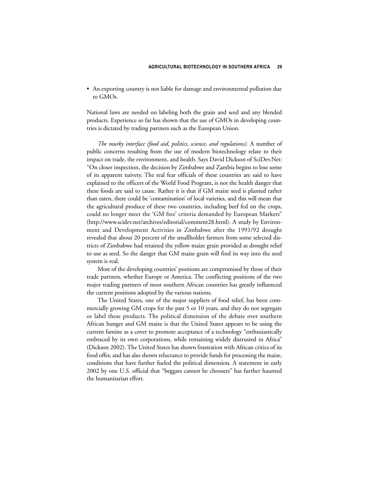• An exporting country is not liable for damage and environmental pollution due to GMOs.

National laws are needed on labeling both the grain and seed and any blended products. Experience so far has shown that the use of GMOs in developing countries is dictated by trading partners such as the European Union.

*The murky interface (food aid, politics, science, and regulations).* A number of public concerns resulting from the use of modern biotechnology relate to their impact on trade, the environment, and health. Says David Dickson of SciDev.Net: "On closer inspection, the decision by Zimbabwe and Zambia begins to lose some of its apparent naivety. The real fear officials of these countries are said to have explained to the officers of the World Food Program, is not the health danger that these foods are said to cause. Rather it is that if GM maize seed is planted rather than eaten, there could be 'contamination' of local varieties, and this will mean that the agricultural produce of these two countries, including beef fed on the crops, could no longer meet the 'GM free' criteria demanded by European Markets" (http://www.scidev.net/archives/editorial/comment28.html). A study by Environment and Development Activities in Zimbabwe after the 1991/92 drought revealed that about 20 percent of the smallholder farmers from some selected districts of Zimbabwe had retained the yellow maize grain provided as drought relief to use as seed. So the danger that GM maize grain will find its way into the seed system is real.

Most of the developing countries' positions are compromised by those of their trade partners, whether Europe or America. The conflicting positions of the two major trading partners of most southern African countries has greatly influenced the current positions adopted by the various nations.

The United States, one of the major suppliers of food relief, has been commercially growing GM crops for the past 5 or 10 years, and they do not segregate or label these products. The political dimension of the debate over southern African hunger and GM maize is that the United States appears to be using the current famine as a cover to promote acceptance of a technology "enthusiastically embraced by its own corporations, while remaining widely distrusted in Africa" (Dickson 2002). The United States has shown frustration with African critics of its food offer, and has also shown reluctance to provide funds for processing the maize, conditions that have further fueled the political dimension. A statement in early 2002 by one U.S. official that "beggars cannot be choosers" has further haunted the humanitarian effort.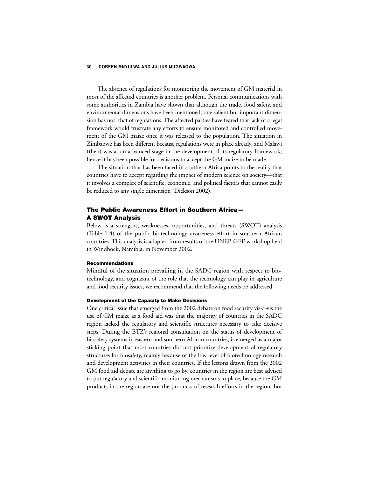The absence of regulations for monitoring the movement of GM material in most of the affected countries is another problem. Personal communications with some authorities in Zambia have shown that although the trade, food safety, and environmental dimensions have been mentioned, one salient but important dimension has not: that of regulations. The affected parties have feared that lack of a legal framework would frustrate any efforts to ensure monitored and controlled movement of the GM maize once it was released to the population. The situation in Zimbabwe has been different because regulations were in place already, and Malawi (then) was at an advanced stage in the development of its regulatory framework; hence it has been possible for decisions to accept the GM maize to be made.

The situation that has been faced in southern Africa points to the reality that countries have to accept regarding the impact of modern science on society—that it involves a complex of scientific, economic, and political factors that cannot easily be reduced to any single dimension (Dickson 2002).

# **The Public Awareness Effort in Southern Africa— A SWOT Analysis**

Below is a strengths, weaknesses, opportunities, and threats (SWOT) analysis (Table 1.4) of the public biotechnology awareness effort in southern African countries. This analysis is adapted from results of the UNEP-GEF workshop held in Windhoek, Namibia, in November 2002.

## **Recommendations**

Mindful of the situation prevailing in the SADC region with respect to biotechnology, and cognizant of the role that the technology can play in agriculture and food security issues, we recommend that the following needs be addressed.

### **Development of the Capacity to Make Decisions**

One critical issue that emerged from the 2002 debate on food security vis-à-vis the use of GM maize as a food aid was that the majority of countries in the SADC region lacked the regulatory and scientific structures necessary to take decisive steps. During the BTZ's regional consultation on the status of development of biosafety systems in eastern and southern African countries, it emerged as a major sticking point that most countries did not prioritize development of regulatory structures for biosafety, mainly because of the low level of biotechnology research and development activities in their countries. If the lessons drawn from the 2002 GM food aid debate are anything to go by, countries in the region are best advised to put regulatory and scientific monitoring mechanisms in place, because the GM products in the region are not the products of research efforts in the region, but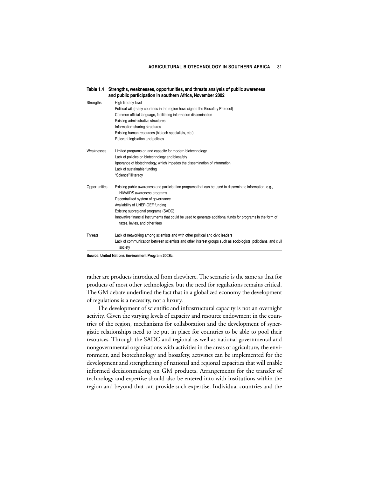#### **AGRICULTURAL BIOTECHNOLOGY IN SOUTHERN AFRICA 31**

| Table 1.4        | Strengths, weaknesses, opportunities, and threats analysis of public awareness<br>and public participation in southern Africa, November 2002  |
|------------------|-----------------------------------------------------------------------------------------------------------------------------------------------|
| <b>Strengths</b> | High literacy level                                                                                                                           |
|                  | Political will (many countries in the region have signed the Biosafety Protocol)                                                              |
|                  | Common official language, facilitating information dissemination                                                                              |
|                  | Existing administrative structures                                                                                                            |
|                  | Information-sharing structures                                                                                                                |
|                  | Existing human resources (biotech specialists, etc.)                                                                                          |
|                  | Relevant legislation and policies                                                                                                             |
| Weaknesses       | Limited programs on and capacity for modern biotechnology                                                                                     |
|                  | Lack of policies on biotechnology and biosafety                                                                                               |
|                  | Ignorance of biotechnology, which impedes the dissemination of information                                                                    |
|                  | Lack of sustainable funding                                                                                                                   |
|                  | "Science" illiteracy                                                                                                                          |
| Opportunities    | Existing public awareness and participation programs that can be used to disseminate information, e.g.,<br>HIV/AIDS awareness programs        |
|                  | Decentralized system of governance                                                                                                            |
|                  | Availability of UNEP-GEF funding                                                                                                              |
|                  | Existing subregional programs (SADC)                                                                                                          |
|                  | Innovative financial instruments that could be used to generate additional funds for programs in the form of<br>taxes, levies, and other fees |
| Threats          | Lack of networking among scientists and with other political and civic leaders                                                                |
|                  | Lack of communication between scientists and other interest groups such as sociologists, politicians, and civil<br>society                    |

**Source: United Nations Environment Program 2003b.**

rather are products introduced from elsewhere. The scenario is the same as that for products of most other technologies, but the need for regulations remains critical. The GM debate underlined the fact that in a globalized economy the development of regulations is a necessity, not a luxury.

The development of scientific and infrastructural capacity is not an overnight activity. Given the varying levels of capacity and resource endowment in the countries of the region, mechanisms for collaboration and the development of synergistic relationships need to be put in place for countries to be able to pool their resources. Through the SADC and regional as well as national governmental and nongovernmental organizations with activities in the areas of agriculture, the environment, and biotechnology and biosafety, activities can be implemented for the development and strengthening of national and regional capacities that will enable informed decisionmaking on GM products. Arrangements for the transfer of technology and expertise should also be entered into with institutions within the region and beyond that can provide such expertise. Individual countries and the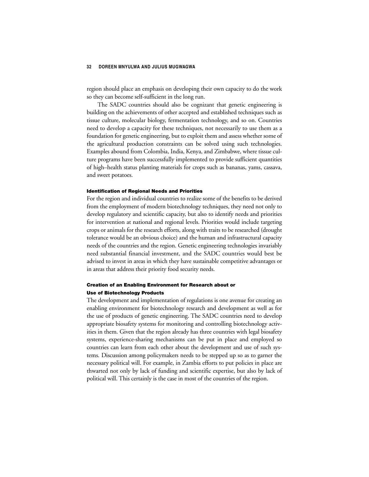region should place an emphasis on developing their own capacity to do the work so they can become self-sufficient in the long run.

The SADC countries should also be cognizant that genetic engineering is building on the achievements of other accepted and established techniques such as tissue culture, molecular biology, fermentation technology, and so on. Countries need to develop a capacity for these techniques, not necessarily to use them as a foundation for genetic engineering, but to exploit them and assess whether some of the agricultural production constraints can be solved using such technologies. Examples abound from Colombia, India, Kenya, and Zimbabwe, where tissue culture programs have been successfully implemented to provide sufficient quantities of high–health status planting materials for crops such as bananas, yams, cassava, and sweet potatoes.

#### **Identification of Regional Needs and Priorities**

For the region and individual countries to realize some of the benefits to be derived from the employment of modern biotechnology techniques, they need not only to develop regulatory and scientific capacity, but also to identify needs and priorities for intervention at national and regional levels. Priorities would include targeting crops or animals for the research efforts, along with traits to be researched (drought tolerance would be an obvious choice) and the human and infrastructural capacity needs of the countries and the region. Genetic engineering technologies invariably need substantial financial investment, and the SADC countries would best be advised to invest in areas in which they have sustainable competitive advantages or in areas that address their priority food security needs.

# **Creation of an Enabling Environment for Research about or Use of Biotechnology Products**

The development and implementation of regulations is one avenue for creating an enabling environment for biotechnology research and development as well as for the use of products of genetic engineering. The SADC countries need to develop appropriate biosafety systems for monitoring and controlling biotechnology activities in them. Given that the region already has three countries with legal biosafety systems, experience-sharing mechanisms can be put in place and employed so countries can learn from each other about the development and use of such systems. Discussion among policymakers needs to be stepped up so as to garner the necessary political will. For example, in Zambia efforts to put policies in place are thwarted not only by lack of funding and scientific expertise, but also by lack of political will. This certainly is the case in most of the countries of the region.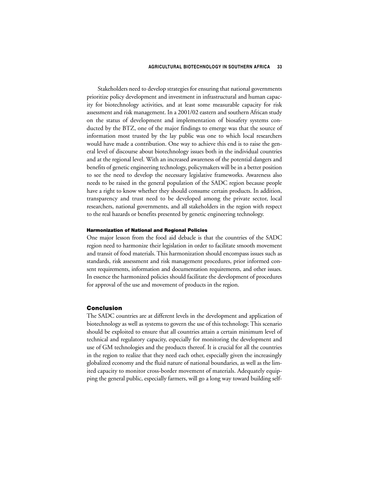## **AGRICULTURAL BIOTECHNOLOGY IN SOUTHERN AFRICA 33**

Stakeholders need to develop strategies for ensuring that national governments prioritize policy development and investment in infrastructural and human capacity for biotechnology activities, and at least some measurable capacity for risk assessment and risk management. In a 2001/02 eastern and southern African study on the status of development and implementation of biosafety systems conducted by the BTZ, one of the major findings to emerge was that the source of information most trusted by the lay public was one to which local researchers would have made a contribution. One way to achieve this end is to raise the general level of discourse about biotechnology issues both in the individual countries and at the regional level. With an increased awareness of the potential dangers and benefits of genetic engineering technology, policymakers will be in a better position to see the need to develop the necessary legislative frameworks. Awareness also needs to be raised in the general population of the SADC region because people have a right to know whether they should consume certain products. In addition, transparency and trust need to be developed among the private sector, local researchers, national governments, and all stakeholders in the region with respect to the real hazards or benefits presented by genetic engineering technology.

## **Harmonization of National and Regional Policies**

One major lesson from the food aid debacle is that the countries of the SADC region need to harmonize their legislation in order to facilitate smooth movement and transit of food materials. This harmonization should encompass issues such as standards, risk assessment and risk management procedures, prior informed consent requirements, information and documentation requirements, and other issues. In essence the harmonized policies should facilitate the development of procedures for approval of the use and movement of products in the region.

## **Conclusion**

The SADC countries are at different levels in the development and application of biotechnology as well as systems to govern the use of this technology. This scenario should be exploited to ensure that all countries attain a certain minimum level of technical and regulatory capacity, especially for monitoring the development and use of GM technologies and the products thereof. It is crucial for all the countries in the region to realize that they need each other, especially given the increasingly globalized economy and the fluid nature of national boundaries, as well as the limited capacity to monitor cross-border movement of materials. Adequately equipping the general public, especially farmers, will go a long way toward building self-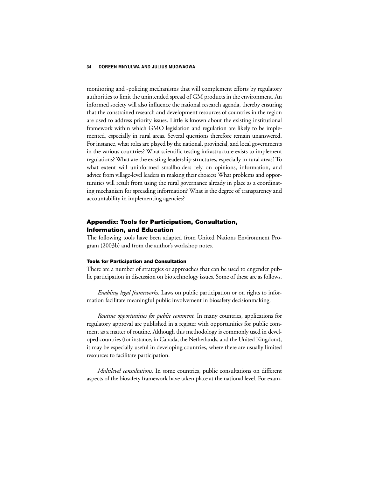monitoring and -policing mechanisms that will complement efforts by regulatory authorities to limit the unintended spread of GM products in the environment. An informed society will also influence the national research agenda, thereby ensuring that the constrained research and development resources of countries in the region are used to address priority issues. Little is known about the existing institutional framework within which GMO legislation and regulation are likely to be implemented, especially in rural areas. Several questions therefore remain unanswered. For instance, what roles are played by the national, provincial, and local governments in the various countries? What scientific testing infrastructure exists to implement regulations? What are the existing leadership structures, especially in rural areas? To what extent will uninformed smallholders rely on opinions, information, and advice from village-level leaders in making their choices? What problems and opportunities will result from using the rural governance already in place as a coordinating mechanism for spreading information? What is the degree of transparency and accountability in implementing agencies?

# **Appendix: Tools for Participation, Consultation, Information, and Education**

The following tools have been adapted from United Nations Environment Program (2003b) and from the author's workshop notes.

## **Tools for Participation and Consultation**

There are a number of strategies or approaches that can be used to engender public participation in discussion on biotechnology issues. Some of these are as follows.

*Enabling legal frameworks.* Laws on public participation or on rights to information facilitate meaningful public involvement in biosafety decisionmaking.

*Routine opportunities for public comment.* In many countries, applications for regulatory approval are published in a register with opportunities for public comment as a matter of routine. Although this methodology is commonly used in developed countries (for instance, in Canada, the Netherlands, and the United Kingdom), it may be especially useful in developing countries, where there are usually limited resources to facilitate participation.

*Multilevel consultations.* In some countries, public consultations on different aspects of the biosafety framework have taken place at the national level. For exam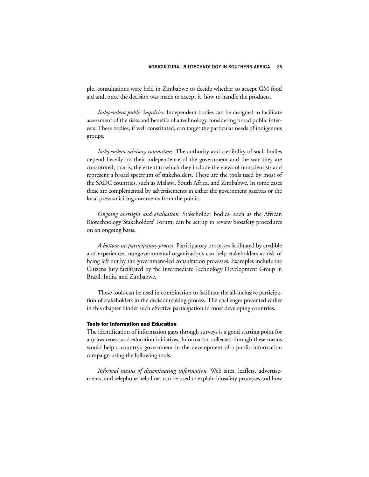ple, consultations were held in Zimbabwe to decide whether to accept GM food aid and, once the decision was made to accept it, how to handle the products.

*Independent public inquiries.* Independent bodies can be designed to facilitate assessment of the risks and benefits of a technology considering broad public interests. These bodies, if well constituted, can target the particular needs of indigenous groups.

*Independent advisory committees.* The authority and credibility of such bodies depend heavily on their independence of the government and the way they are constituted, that is, the extent to which they include the views of nonscientists and represent a broad spectrum of stakeholders. These are the tools used by most of the SADC countries, such as Malawi, South Africa, and Zimbabwe. In some cases these are complemented by advertisements in either the government gazettes or the local press soliciting comments from the public.

*Ongoing oversight and evaluation.* Stakeholder bodies, such as the African Biotechnology Stakeholders' Forum, can be set up to review biosafety procedures on an ongoing basis.

*A bottom-up participatory process.* Participatory processes facilitated by credible and experienced nongovernmental organizations can help stakeholders at risk of being left out by the government-led consultation processes. Examples include the Citizens Jury facilitated by the Intermediate Technology Development Group in Brazil, India, and Zimbabwe.

These tools can be used in combination to facilitate the all-inclusive participation of stakeholders in the decisionmaking process. The challenges presented earlier in this chapter hinder such effective participation in most developing countries.

### **Tools for Information and Education**

The identification of information gaps through surveys is a good starting point for any awareness and education initiatives. Information collected through these means would help a country's government in the development of a public information campaign using the following tools.

*Informal means of disseminating information.* Web sites, leaflets, advertisements, and telephone help lines can be used to explain biosafety processes and how